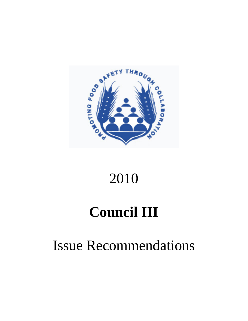

# 2010

# **Council III**

# Issue Recommendations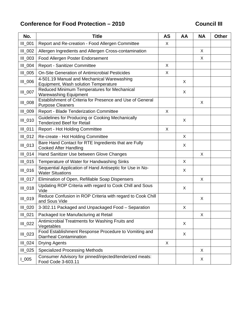## Conference for Food Protection – 2010 **Conference Council III**

| No.            | <b>Title</b>                                                                            | <b>AS</b> | AA | <b>NA</b> | <b>Other</b> |
|----------------|-----------------------------------------------------------------------------------------|-----------|----|-----------|--------------|
| III_001        | Report and Re-creation - Food Allergen Committee                                        | X         |    |           |              |
| III_002        | Allergen Ingredients and Allergen Cross-contamination                                   |           |    | X         |              |
| III_003        | Food Allergen Poster Endorsement                                                        |           |    | X         |              |
| III_004        | Report - Sanitizer Committee                                                            | X         |    |           |              |
| III_005        | On-Site Generation of Antimicrobial Pesticides                                          | X         |    |           |              |
| <b>III</b> 006 | 4-501.19 Manual and Mechanical Warewashing<br>Equipment, Wash solution Temperature      |           | X  |           |              |
| III_007        | Reduced Minimum Temperatures for Mechanical<br><b>Warewashing Equipment</b>             |           | X  |           |              |
| III_008        | Establishment of Criteria for Presence and Use of General<br><b>Purpose Cleaners</b>    |           |    | X         |              |
| III_009        | Report - Blade Tenderization Committee                                                  | X         |    |           |              |
| III_010        | Guidelines for Producing or Cooking Mechanically<br><b>Tenderized Beef for Retail</b>   |           | X  |           |              |
| $III_011$      | <b>Report - Hot Holding Committee</b>                                                   | X         |    |           |              |
| $III_012$      | Re-create - Hot Holding Committee                                                       |           | X  |           |              |
| $III_013$      | Bare Hand Contact for RTE Ingredients that are Fully<br><b>Cooked After Handling</b>    |           | X  |           |              |
| $III_014$      | Hand Sanitizer Use between Glove Changes                                                |           |    | X         |              |
| III_015        | Temperature of Water for Handwashing Sinks                                              |           | X  |           |              |
| III_016        | Sequential Application of Hand Antiseptic for Use in No-<br><b>Water Situations</b>     |           | X  |           |              |
| $III_017$      | Elimination of Open, Refillable Soap Dispensers                                         |           |    | X         |              |
| III_018        | Updating ROP Criteria with regard to Cook Chill and Sous<br>Vide                        |           | X  |           |              |
| $III_019$      | Reduce Confusion in ROP Criteria with regard to Cook Chill<br>and Sous Vide             |           |    | X         |              |
| $III_020$      | 3-302.11 Packaged and Unpackaged Food - Separation                                      |           | X  |           |              |
| $III_021$      | Packaged Ice Manufacturing at Retail                                                    |           |    | X         |              |
| III_022        | Antimicrobial Treatments for Washing Fruits and<br>Vegetables                           |           | X  |           |              |
| III_023        | Food Establishment Response Procedure to Vomiting and<br><b>Diarrheal Contamination</b> |           | X  |           |              |
| $III_024$      | <b>Drying Agents</b>                                                                    | X         |    |           |              |
| $III_025$      | <b>Specialized Processing Methods</b>                                                   |           |    | X         |              |
| $L_{005}$      | Consumer Advisory for pinned/injected/tenderized meats:<br>Food Code 3-603.11           |           |    | X         |              |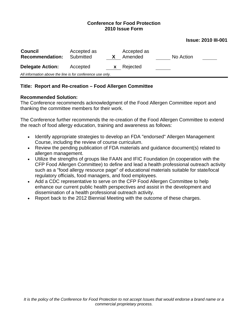#### **Issue: 2010 III-001**

| <b>Council</b><br><b>Recommendation:</b>                   | Accepted as<br>Submitted |    | Accepted as<br>Amended | No Action |  |
|------------------------------------------------------------|--------------------------|----|------------------------|-----------|--|
| <b>Delegate Action:</b>                                    | Accepted                 | X. | Rejected               |           |  |
| All information above the line is for conference use only. |                          |    |                        |           |  |

## **Title: Report and Re-creation – Food Allergen Committee**

### **Recommended Solution:**

The Conference recommends acknowledgment of the Food Allergen Committee report and thanking the committee members for their work.

The Conference further recommends the re-creation of the Food Allergen Committee to extend the reach of food allergy education, training and awareness as follows:

- Identify appropriate strategies to develop an FDA "endorsed" Allergen Management Course, including the review of course curriculum.
- Review the pending publication of FDA materials and guidance document(s) related to allergen management.
- Utilize the strengths of groups like FAAN and IFIC Foundation (in cooperation with the CFP Food Allergen Committee) to define and lead a health professional outreach activity such as a "food allergy resource page" of educational materials suitable for state/local regulatory officials, food managers, and food employees.
- Add a CDC representative to serve on the CFP Food Allergen Committee to help enhance our current public health perspectives and assist in the development and dissemination of a health professional outreach activity.
- Report back to the 2012 Biennial Meeting with the outcome of these charges.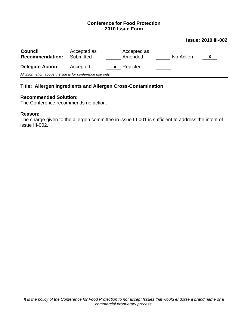#### **Issue: 2010 III-002**

| <b>Council</b><br><b>Recommendation:</b>                   | Accepted as<br>Submitted |    | Accepted as<br>Amended | No Action | $\mathbf{X}$ |
|------------------------------------------------------------|--------------------------|----|------------------------|-----------|--------------|
| <b>Delegate Action:</b>                                    | Accepted                 | X. | Rejected               |           |              |
| All information above the line is for conference use only. |                          |    |                        |           |              |

## **Title: Allergen Ingredients and Allergen Cross-Contamination**

#### **Recommended Solution:**

The Conference recommends no action.

#### **Reason:**

The charge given to the allergen committee in issue III-001 is sufficient to address the intent of issue III-002.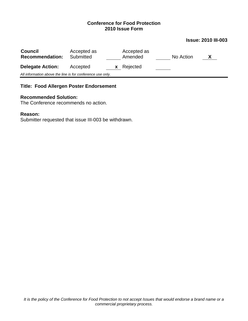#### **Issue: 2010 III-003**

| <b>Council</b><br><b>Recommendation:</b>                   | Accepted as<br>Submitted | Accepted as<br>Amended | No Action<br>X |  |
|------------------------------------------------------------|--------------------------|------------------------|----------------|--|
| <b>Delegate Action:</b>                                    | Accepted<br><b>X</b>     | Rejected               |                |  |
| All information above the line is for conference use only. |                          |                        |                |  |

## **Title: Food Allergen Poster Endorsement**

## **Recommended Solution:**

The Conference recommends no action.

### **Reason:**

Submitter requested that issue III-003 be withdrawn.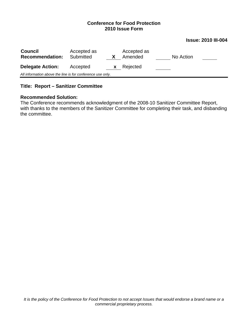#### **Issue: 2010 III-004**

| <b>Council</b><br><b>Recommendation:</b>                   | Accepted as<br>Submitted |              | Accepted as<br>Amended | No Action |  |
|------------------------------------------------------------|--------------------------|--------------|------------------------|-----------|--|
| <b>Delegate Action:</b>                                    | Accepted                 | $\mathbf{X}$ | Rejected               |           |  |
| All information above the line is for conference use only. |                          |              |                        |           |  |

## **Title: Report – Sanitizer Committee**

#### **Recommended Solution:**

The Conference recommends acknowledgment of the 2008-10 Sanitizer Committee Report, with thanks to the members of the Sanitizer Committee for completing their task, and disbanding the committee.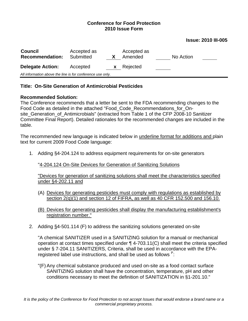#### **Issue: 2010 III-005**

| <b>Council</b><br><b>Recommendation:</b>                   | Accepted as<br>Submitted |          | Accepted as<br>Amended | No Action |  |
|------------------------------------------------------------|--------------------------|----------|------------------------|-----------|--|
| <b>Delegate Action:</b>                                    | Accepted                 | <b>X</b> | Rejected               |           |  |
| All information above the line is for conference use only. |                          |          |                        |           |  |

## **Title: On-Site Generation of Antimicrobial Pesticides**

## **Recommended Solution:**

The Conference recommends that a letter be sent to the FDA recommending changes to the Food Code as detailed in the attached "Food\_Code\_Recommendations\_for\_Onsite Generation of Antimicrobials" (extracted from Table 1 of the CFP 2008-10 Sanitizer Committee Final Report). Detailed rationales for the recommended changes are included in the table.

The recommended new language is indicated below in underline format for additions and plain text for current 2009 Food Code language:

1. Adding §4-204.124 to address equipment requirements for on-site generators

"4-204.124 On-Site Devices for Generation of Sanitizing Solutions

"Devices for generation of sanitizing solutions shall meet the characteristics specified under §4-202.11 and

- (A) Devices for generating pesticides must comply with regulations as established by section 2(q)(1) and section 12 of FIFRA, as well as 40 CFR 152.500 and 156.10.
- (B) Devices for generating pesticides shall display the manufacturing establishment's registration number."
- 2. Adding §4-501.114 (F) to address the sanitizing solutions generated on-site

"A chemical SANITIZER used in a SANITIZING solution for a manual or mechanical operation at contact times specified under ¶ 4-703.11(C) shall meet the criteria specified under § 7-204.11 SANITIZERS, Criteria, shall be used in accordance with the EPAregistered label use instructions, and shall be used as follows  $P$ :

"(F) Any chemical substance produced and used on-site as a food contact surface SANITIZING solution shall have the concentration, temperature, pH and other conditions necessary to meet the definition of SANITIZATION in §1-201.10."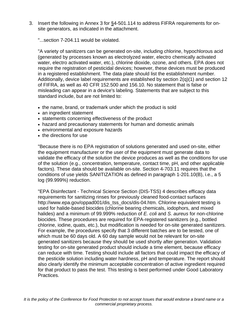3. Insert the following in Annex 3 for §4-501.114 to address FIFRA requirements for onsite generators, as indicated in the attachment.

"...section 7-204.11 would be violated.

"A variety of sanitizers can be generated on-site, including chlorine, hypochlorous acid (generated by processes known as electrolyzed water, electro chemically activated water, electro activated water, etc.), chlorine dioxide, ozone, and others. EPA does not require the registration of pesticidal devices; however, these devices must be produced in a registered establishment. The data plate should list the establishment number. Additionally, device label requirements are established by section  $2(q)(1)$  and section 12 of FIFRA, as well as 40 CFR 152.500 and 156.10. No statement that is false or misleading can appear in a device's labeling. Statements that are subject to this standard include, but are not limited to:

- the name, brand, or trademark under which the product is sold
- an ingredient statement
- statements concerning effectiveness of the product
- hazard and precautionary statements for human and domestic animals
- environmental and exposure hazards
- the directions for use

"Because there is no EPA registration of solutions generated and used on-site, either the equipment manufacturer or the user of the equipment must generate data to validate the efficacy of the solution the device produces as well as the conditions for use of the solution (e.g., concentration, temperature, contact time, pH, and other applicable factors). These data should be available on-site. Section 4-703.11 requires that the conditions of use yields SANITIZATION as defined in paragraph 1-201.10(B), i.e., a 5 log (99.999%) reduction.

"EPA Disinfectant - Technical Science Section (DIS-TSS) 4 describes efficacy data requirements for sanitizing rinses for previously cleaned food-contact surfaces http://www.epa.gov/oppad001/dis\_tss\_docs/dis-04.htm. Chlorine equivalent testing is used for halide-based biocides (chlorine bearing chemicals, iodophors, and mixed halides) and a minimum of 99.999% reduction of *E. coli* and *S. aureus* for non-chlorine biocides. These procedures are required for EPA-registered sanitizers (e.g., bottled chlorine, iodine, quats, etc.), but modification is needed for on-site generated sanitizers. For example, the procedures specify that 3 different batches are to be tested, one of which must be 60 days old. A 60 day sample would not be relevant for on-site generated sanitizers because they should be used shortly after generation. Validation testing for on-site generated product should include a time element, because efficacy can reduce with time. Testing should include all factors that could impact the efficacy of the pesticide solution including water hardness, pH and temperature. The report should also clearly identify the minimum acceptable concentration of active ingredient required for that product to pass the test. This testing is best performed under Good Laboratory Practices.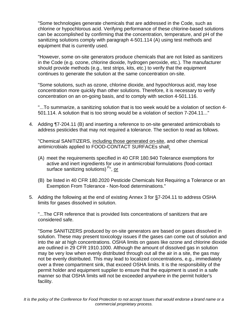"Some technologies generate chemicals that are addressed in the Code, such as chlorine or hypochlorous acid. Verifying performance of these chlorine-based solutions can be accomplished by confirming that the concentration, temperature, and pH of the sanitizing solutions comply with paragraph 4-501.114 (A) using test methods and equipment that is currently used.

"However, some on-site generators produce chemicals that are not listed as sanitizers in the Code (e.g. ozone, chlorine dioxide, hydrogen peroxide, etc.). The manufacturer should provide methods (e.g., test strips, kits, etc.) to verify that the equipment continues to generate the solution at the same concentration on-site.

"Some solutions, such as ozone, chlorine dioxide, and hypochlorous acid, may lose concentration more quickly than other solutions. Therefore, it is necessary to verify concentration on an on-going basis, and to comply with section 4-501.116.

"...To summarize, a sanitizing solution that is too week would be a violation of section 4- 501.114. A solution that is too strong would be a violation of section 7-204.11..."

4. Adding ¶7-204.11 (B) and inserting a reference to on-site generated antimicrobials to address pesticides that may not required a tolerance. The section to read as follows.

"Chemical SANITIZERS, including those generated on-site, and other chemical antimicrobials applied to FOOD-CONTACT SURFACEs shall:

- (A) meet the requirements specified in 40 CFR 180.940 Tolerance exemptions for active and inert ingredients for use in antimicrobial formulations (food-contact surface sanitizing solutions)<sup>P</sup>", or
- (B) be listed in 40 CFR 180.2020 Pesticide Chemicals Not Requiring a Tolerance or an Exemption From Tolerance - Non-food determinations."
- 5. Adding the following at the end of existing Annex 3 for §7-204.11 to address OSHA limits for gases dissolved in solution.

"...The CFR reference that is provided lists concentrations of sanitizers that are considered safe.

"Some SANITIZERS produced by on-site generators are based on gases dissolved in solution. These may present toxicology issues if the gases can come out of solution and into the air at high concentrations. OSHA limits on gases like ozone and chlorine dioxide are outlined in 29 CFR 1910.1000. Although the amount of dissolved gas in solution may be very low when evenly distributed through out all the air in a site, the gas may not be evenly distributed. This may lead to localized concentrations, e.g., immediately over a three compartment sink, that exceed OSHA limits. It is the responsibility of the permit holder and equipment supplier to ensure that the equipment is used in a safe manner so that OSHA limits will not be exceeded anywhere in the permit holder's facility.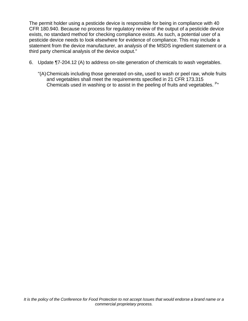The permit holder using a pesticide device is responsible for being in compliance with 40 CFR 180.940. Because no process for regulatory review of the output of a pesticide device exists, no standard method for checking compliance exists. As such, a potential user of a pesticide device needs to look elsewhere for evidence of compliance. This may include a statement from the device manufacturer, an analysis of the MSDS ingredient statement or a third party chemical analysis of the device output."

- 6. Update ¶7-204.12 (A) to address on-site generation of chemicals to wash vegetables.
	- "(A) Chemicals including those generated on-site**,** used to wash or peel raw, whole fruits and vegetables shall meet the requirements specified in 21 CFR 173.315 Chemicals used in washing or to assist in the peeling of fruits and vegetables. <sup>P</sup>"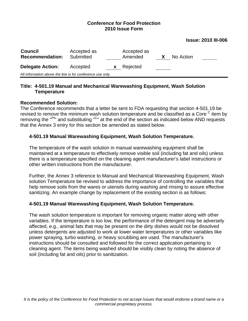#### **Issue: 2010 III-006**

| <b>Council</b><br><b>Recommendation:</b>                   | Accepted as<br>Submitted |          | Accepted as<br>Amended | X | No Action |  |
|------------------------------------------------------------|--------------------------|----------|------------------------|---|-----------|--|
| <b>Delegate Action:</b>                                    | Accepted                 | <b>X</b> | Rejected               |   |           |  |
| All information above the line is for conference use only. |                          |          |                        |   |           |  |

## **Title: 4-501.19 Manual and Mechanical Warewashing Equipment, Wash Solution Temperature**

## **Recommended Solution:**

The Conference recommends that a letter be sent to FDA requesting that section 4-501.19 be revised to remove the minimum wash solution temperature and be classified as a Core <sup>C</sup> item by removing the "<sup>Pf</sup>" and substituting "<sup>C</sup>" at the end of the section as indicated below AND requests that the Annex 3 entry for this section be amended as stated below.

## **4-501.19 Manual Warewashing Equipment, Wash Solution Temperature.**

The temperature of the wash solution in manual warewashing equipment shall be maintained at a temperature to effectively remove visible soil (including fat and oils) unless there is a temperature specified on the cleaning agent manufacturer's label instructions or other written instructions from the manufacturer.

Further, the Annex 3 reference to Manual and Mechanical Warewashing Equipment, Wash solution Temperature be revised to address the importance of controlling the variables that help remove soils from the wares or utensils during washing and rinsing to assure effective sanitizing. An example change by replacement of the existing section is as follows:

## **4-501.19 Manual Warewashing Equipment, Wash Solution Temperature.**

The wash solution temperature is important for removing organic matter along with other variables. If the temperature is too low, the performance of the detergent may be adversely affected, e.g., animal fats that may be present on the dirty dishes would not be dissolved unless detergents are adjusted to work at lower water temperatures or other variables like power spraying, turbo washing, or heavy scrubbing are used. The manufacturer's instructions should be consulted and followed for the correct application pertaining to cleaning agent. The items being washed should be visibly clean by noting the absence of soil (including fat and oils) prior to sanitization.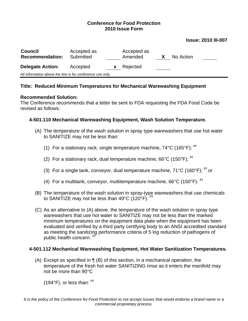#### **Issue: 2010 III-007**

| <b>Council</b><br><b>Recommendation:</b>                   | Accepted as<br>Submitted |              | Accepted as<br>Amended | No Action |
|------------------------------------------------------------|--------------------------|--------------|------------------------|-----------|
| <b>Delegate Action:</b>                                    | Accepted                 | $\mathbf{x}$ | Rejected               |           |
| All information above the line is for conference use only. |                          |              |                        |           |

### **Title: Reduced Minimum Temperatures for Mechanical Warewashing Equipment**

#### **Recommended Solution:**

The Conference recommends that a letter be sent to FDA requesting the FDA Food Code be revised as follows:

## **4-501.110 Mechanical Warewashing Equipment, Wash Solution Temperature.**

- (A) The temperature of the wash solution in spray type warewashers that use hot water to SANITIZE may not be less than:
	- (1) For a stationary rack, single temperature machine,  $74^{\circ}$ C (165 $^{\circ}$ F); <sup>Pf</sup>
	- (2) For a stationary rack, dual temperature machine,  $66^{\circ}$ C (150 $^{\circ}$ F); <sup>Pf</sup>
	- (3) For a single tank, conveyor, dual temperature machine,  $71^{\circ}$ C (160 $^{\circ}$ F); <sup>Pr</sup> or
	- (4) For a multitank, conveyor, multitemperature machine,  $66^{\circ}$ C (150 $^{\circ}$ F). <sup>Pf</sup>
- (B) The temperature of the wash solution in spray-type warewashers that use chemicals to SANITIZE may not be less than  $49^{\circ}$ C (120 $^{\circ}$ F). <sup>Pf</sup>
- (C) As an alternative to (A) above, the temperature of the wash solution in spray type warewashers that use hot water to SANITIZE may not be less than the marked minimum temperatures on the equipment data plate when the equipment has been evaluated and verified by a third party certifying body to an ANSI accredited standard as meeting the sanitizing performance criteria of 5 log reduction of pathogens of public health concern. Pf

## **4-501.112 Mechanical Warewashing Equipment, Hot Water Sanitization Temperatures.**

(A) Except as specified in ¶ (B) of this section, in a mechanical operation, the temperature of the fresh hot water SANITIZING rinse as it enters the manifold may not be more than 90°C

(194°F), or less than: Pf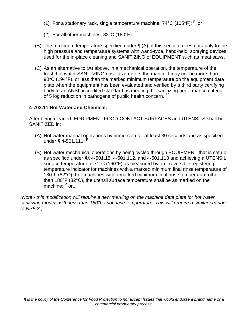- (1) For a stationary rack, single temperature machine,  $74^{\circ}$ C (165 $^{\circ}$ F); <sup>Pf</sup> or
- (2) For all other machines, 82°C (180°F). Pf
- (B) The maximum temperature specified under ¶ (A) of this section, does not apply to the high pressure and temperature systems with wand-type, hand-held, spraying devices used for the in-place cleaning and SANITIZING of EQUIPMENT such as meat saws.
- (C) As an alternative to (A) above, in a mechanical operation, the temperature of the fresh hot water SANITIZING rinse as it enters the manifold may not be more than 90°C (194°F), or less than the marked minimum temperature on the equipment data plate when the equipment has been evaluated and verified by a third party certifying body to an ANSI accredited standard as meeting the sanitizing performance criteria of 5 log reduction in pathogens of public health concern. Pf

## **4-703.11 Hot Water and Chemical.**

After being cleaned, EQUIPMENT FOOD-CONTACT SURFACES and UTENSILS shall be SANITIZED in:

- (A) Hot water manual operations by immersion for at least 30 seconds and as specified under § 4-501.111;
- (B) Hot water mechanical operations by being cycled through EQUIPMENT that is set up as specified under §§ 4-501.15, 4-501.112, and 4-501.113 and achieving a UTENSIL surface temperature of 71°C (160°F) as measured by an irreversible registering temperature indicator for machines with a marked minimum final rinse temperature of 180°F (82°C). For machines with a marked minimum final rinse temperature other than 180°F (82°C), the utensil surface temperature shall be as marked on the machine; <sup>P</sup> or...

*(Note - this modification will require a new marking on the machine data plate for hot water sanitizing models with less than 180°F final rinse temperature. This will require a similar change to NSF 3.)*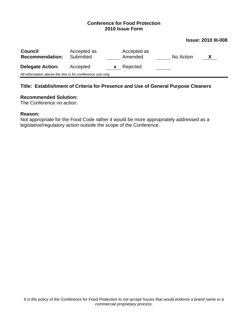#### **Issue: 2010 III-008**

| <b>Council</b><br><b>Recommendation:</b>                   | Accepted as<br>Submitted |   | Accepted as<br>Amended | No Action |  |
|------------------------------------------------------------|--------------------------|---|------------------------|-----------|--|
| <b>Delegate Action:</b>                                    | Accepted                 | X | Rejected               |           |  |
| All information above the line is for conference use only. |                          |   |                        |           |  |

## **Title: Establishment of Criteria for Presence and Use of General Purpose Cleaners**

#### **Recommended Solution:**

The Conference no action.

#### **Reason:**

Not appropriate for the Food Code rather it would be more appropriately addressed as a legislative/regulatory action outside the scope of the Conference.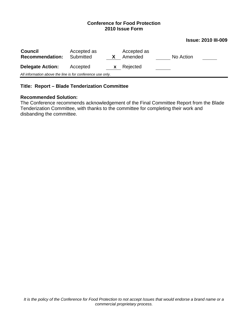#### **Issue: 2010 III-009**

| <b>Council</b><br><b>Recommendation:</b>                   | Accepted as<br>Submitted |    | Accepted as<br>Amended | No Action |  |
|------------------------------------------------------------|--------------------------|----|------------------------|-----------|--|
| <b>Delegate Action:</b>                                    | Accepted                 | X. | Rejected               |           |  |
| All information above the line is for conference use only. |                          |    |                        |           |  |

## **Title: Report – Blade Tenderization Committee**

## **Recommended Solution:**

The Conference recommends acknowledgement of the Final Committee Report from the Blade Tenderization Committee, with thanks to the committee for completing their work and disbanding the committee.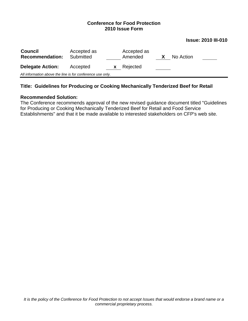#### **Issue: 2010 III-010**

| <b>Council</b><br><b>Recommendation:</b>                   | Accepted as<br>Submitted |    | Accepted as<br>Amended | X | No Action |  |
|------------------------------------------------------------|--------------------------|----|------------------------|---|-----------|--|
| <b>Delegate Action:</b>                                    | Accepted                 | X. | Rejected               |   |           |  |
| All information above the line is for conference use only. |                          |    |                        |   |           |  |
|                                                            |                          |    |                        |   |           |  |

## **Title: Guidelines for Producing or Cooking Mechanically Tenderized Beef for Retail**

## **Recommended Solution:**

The Conference recommends approval of the new revised guidance document titled "Guidelines for Producing or Cooking Mechanically Tenderized Beef for Retail and Food Service Establishments" and that it be made available to interested stakeholders on CFP's web site.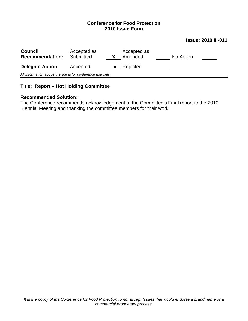#### **Issue: 2010 III-011**

| <b>Council</b><br><b>Recommendation:</b>                   | Accepted as<br>Submitted |   | Accepted as<br>Amended | No Action |  |
|------------------------------------------------------------|--------------------------|---|------------------------|-----------|--|
| <b>Delegate Action:</b>                                    | Accepted                 | X | Rejected               |           |  |
| All information above the line is for conference use only. |                          |   |                        |           |  |

## **Title: Report – Hot Holding Committee**

#### **Recommended Solution:**

The Conference recommends acknowledgement of the Committee's Final report to the 2010 Biennial Meeting and thanking the committee members for their work.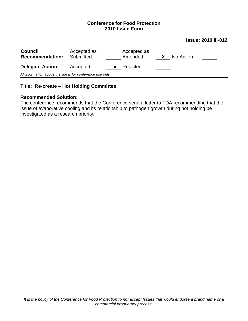#### **Issue: 2010 III-012**

| <b>Council</b><br><b>Recommendation:</b>                   | Accepted as<br>Submitted |   | Accepted as<br>Amended | No Action |  |
|------------------------------------------------------------|--------------------------|---|------------------------|-----------|--|
| <b>Delegate Action:</b>                                    | Accepted                 | X | Rejected               |           |  |
| All information above the line is for conference use only. |                          |   |                        |           |  |

## **Title: Re-create – Hot Holding Committee**

#### **Recommended Solution:**

The conference recommends that the Conference send a letter to FDA recommending that the issue of evaporative cooling and its relationship to pathogen growth during hot holding be investigated as a research priority.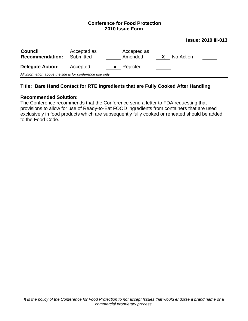#### **Issue: 2010 III-013**

| <b>Council</b><br><b>Recommendation:</b>                   | Accepted as<br>Submitted |   | Accepted as<br>Amended | No Action |  |
|------------------------------------------------------------|--------------------------|---|------------------------|-----------|--|
| <b>Delegate Action:</b>                                    | Accepted                 | X | Rejected               |           |  |
| All information above the line is for conference use only. |                          |   |                        |           |  |

## **Title: Bare Hand Contact for RTE Ingredients that are Fully Cooked After Handling**

#### **Recommended Solution:**

The Conference recommends that the Conference send a letter to FDA requesting that provisions to allow for use of Ready-to-Eat FOOD ingredients from containers that are used exclusively in food products which are subsequently fully cooked or reheated should be added to the Food Code.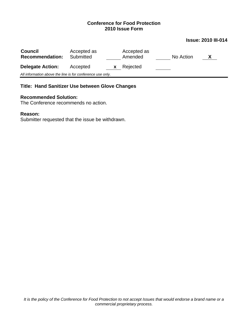#### **Issue: 2010 III-014**

| <b>Council</b><br><b>Recommendation:</b>                   | Accepted as<br>Submitted |   | Accepted as<br>Amended | No Action | X |
|------------------------------------------------------------|--------------------------|---|------------------------|-----------|---|
| <b>Delegate Action:</b>                                    | Accepted                 | X | Rejected               |           |   |
| All information above the line is for conference use only. |                          |   |                        |           |   |
|                                                            |                          |   |                        |           |   |

## **Title: Hand Sanitizer Use between Glove Changes**

#### **Recommended Solution:**

The Conference recommends no action.

## **Reason:**

Submitter requested that the issue be withdrawn.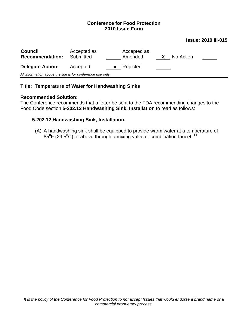#### **Issue: 2010 III-015**

| <b>Council</b><br><b>Recommendation:</b>                   | Accepted as<br>Submitted |   | Accepted as<br>Amended | No Action |  |
|------------------------------------------------------------|--------------------------|---|------------------------|-----------|--|
| <b>Delegate Action:</b>                                    | Accepted                 | X | Rejected               |           |  |
| All information above the line is for conference use only. |                          |   |                        |           |  |

## **Title: Temperature of Water for Handwashing Sinks**

#### **Recommended Solution:**

The Conference recommends that a letter be sent to the FDA recommending changes to the Food Code section **5-202.12 Handwashing Sink, Installation** to read as follows:

### **5-202.12 Handwashing Sink, Installation.**

(A) A handwashing sink shall be equipped to provide warm water at a temperature of  $85^{\circ}$ F (29.5 $^{\circ}$ C) or above through a mixing valve or combination faucet. <sup>Pf</sup>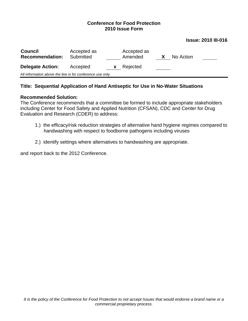#### **Issue: 2010 III-016**

| <b>Council</b><br><b>Recommendation:</b>                   | Accepted as<br>Submitted |   | Accepted as<br>Amended | No Action |  |
|------------------------------------------------------------|--------------------------|---|------------------------|-----------|--|
| <b>Delegate Action:</b>                                    | Accepted                 | X | Rejected               |           |  |
| All information above the line is for conference use only. |                          |   |                        |           |  |

### **Title: Sequential Application of Hand Antiseptic for Use in No-Water Situations**

#### **Recommended Solution:**

The Conference recommends that a committee be formed to include appropriate stakeholders including Center for Food Safety and Applied Nutrition (CFSAN), CDC and Center for Drug Evaluation and Research (CDER) to address:

- 1.) the efficacy/risk reduction strategies of alternative hand hygiene regimes compared to handwashing with respect to foodborne pathogens including viruses
- 2.) identify settings where alternatives to handwashing are appropriate.

and report back to the 2012 Conference.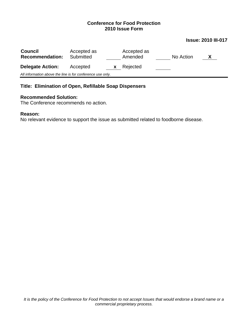## **Issue: 2010 III-017**

| <b>Council</b><br><b>Recommendation:</b>                   | Accepted as<br>Submitted |   | Accepted as<br>Amended | No Action | X |
|------------------------------------------------------------|--------------------------|---|------------------------|-----------|---|
| <b>Delegate Action:</b>                                    | Accepted                 | X | Rejected               |           |   |
| All information above the line is for conference use only. |                          |   |                        |           |   |

## **Title: Elimination of Open, Refillable Soap Dispensers**

#### **Recommended Solution:**

The Conference recommends no action.

#### **Reason:**

No relevant evidence to support the issue as submitted related to foodborne disease.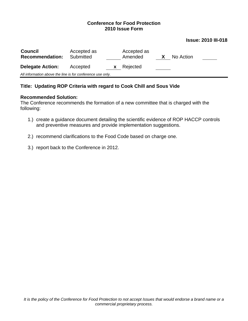#### **Issue: 2010 III-018**

| <b>Council</b><br><b>Recommendation:</b>                   | Accepted as<br>Submitted |   | Accepted as<br>Amended | X | No Action |
|------------------------------------------------------------|--------------------------|---|------------------------|---|-----------|
| <b>Delegate Action:</b>                                    | Accepted                 | X | Rejected               |   |           |
| All information above the line is for conference use only. |                          |   |                        |   |           |

### **Title: Updating ROP Criteria with regard to Cook Chill and Sous Vide**

#### **Recommended Solution:**

The Conference recommends the formation of a new committee that is charged with the following:

- 1.) create a guidance document detailing the scientific evidence of ROP HACCP controls and preventive measures and provide implementation suggestions.
- 2.) recommend clarifications to the Food Code based on charge one.
- 3.) report back to the Conference in 2012.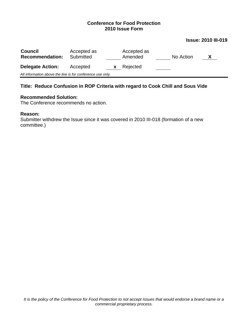#### **Issue: 2010 III-019**

| <b>Council</b><br><b>Recommendation:</b>                   | Accepted as<br>Submitted |   | Accepted as<br>Amended | No Action | X |
|------------------------------------------------------------|--------------------------|---|------------------------|-----------|---|
| <b>Delegate Action:</b>                                    | Accepted                 | X | Rejected               |           |   |
| All information above the line is for conference use only. |                          |   |                        |           |   |

## **Title: Reduce Confusion in ROP Criteria with regard to Cook Chill and Sous Vide**

#### **Recommended Solution:**

The Conference recommends no action.

### **Reason:**

Submitter withdrew the Issue since it was covered in 2010 III-018 (formation of a new committee.)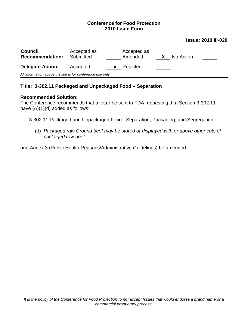#### **Issue: 2010 III-020**

| <b>Council</b><br><b>Recommendation:</b>                   | Accepted as<br>Submitted |   | Accepted as<br>Amended | No Action |  |
|------------------------------------------------------------|--------------------------|---|------------------------|-----------|--|
| <b>Delegate Action:</b>                                    | Accepted                 | X | Rejected               |           |  |
| All information above the line is for conference use only. |                          |   |                        |           |  |

### **Title: 3-302.11 Packaged and Unpackaged Food – Separation**

#### **Recommended Solution:**

The Conference recommends that a letter be sent to FDA requesting that Section 3-302.11 have  $(A)(1)(d)$  added as follows:

3-302.11 Packaged and Unpackaged Food - Separation, Packaging, and Segregation.

(d) *Packaged raw Ground beef may be stored or displayed with or above other cuts of packaged raw beef*

and Annex 3 (Public Health Reasons/Administrative Guidelines) be amended.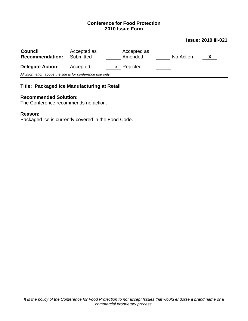## **Issue: 2010 III-021**

| <b>Council</b><br><b>Recommendation:</b>                   | Accepted as<br>Submitted | Accepted as<br>Amended | No Action | X |
|------------------------------------------------------------|--------------------------|------------------------|-----------|---|
| <b>Delegate Action:</b>                                    | Accepted<br>X.           | Rejected               |           |   |
| All information above the line is for conference use only. |                          |                        |           |   |

## **Title: Packaged Ice Manufacturing at Retail**

#### **Recommended Solution:**

The Conference recommends no action.

### **Reason:**

Packaged ice is currently covered in the Food Code.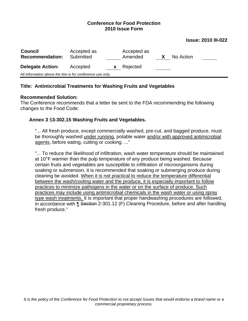#### **Issue: 2010 III-022**

| <b>Council</b><br><b>Recommendation:</b>                   | Accepted as<br>Submitted |          | Accepted as<br>Amended | $\bm{x}$ | No Action |  |
|------------------------------------------------------------|--------------------------|----------|------------------------|----------|-----------|--|
| <b>Delegate Action:</b>                                    | Accepted                 | <b>X</b> | Rejected               |          |           |  |
| All information above the line is for conference use only. |                          |          |                        |          |           |  |

### **Title: Antimicrobial Treatments for Washing Fruits and Vegetables**

#### **Recommended Solution:**

The Conference recommends that a letter be sent to the FDA recommending the following changes to the Food Code:

### **Annex 3** §**3-302.15 Washing Fruits and Vegetables.**

"... All fresh produce, except commercially washed, pre-cut, and bagged produce, must be thoroughly washed under running, potable water and/or with approved antimicrobial agents, before eating, cutting or cooking. ..."

"... To reduce the likelihood of infiltration, wash water temperature should be maintained at 10°F warmer than the pulp temperature of any produce being washed. Because certain fruits and vegetables are susceptible to infiltration of microorganisms during soaking or submersion, it is recommended that soaking or submerging produce during cleaning be avoided. When it is not practical to reduce the temperature differential between the wash/cooling water and the produce, it is especially important to follow practices to minimize pathogens in the water or on the surface of produce. Such practices may include using antimicrobial chemicals in the wash water or using spray type wash treatments. It is important that proper handwashing procedures are followed, in accordance with ¶ Section 2-301.12 (F) Cleaning Procedure, before and after handling fresh produce."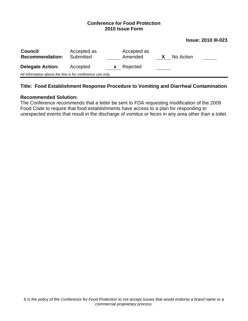#### **Issue: 2010 III-023**

| <b>Council</b><br><b>Recommendation:</b>                   | Accepted as<br>Submitted |    | Accepted as<br>Amended | X | No Action |  |
|------------------------------------------------------------|--------------------------|----|------------------------|---|-----------|--|
| <b>Delegate Action:</b>                                    | Accepted                 | X. | Rejected               |   |           |  |
| All information above the line is for conference use only. |                          |    |                        |   |           |  |
|                                                            |                          |    |                        |   |           |  |

## **Title: Food Establishment Response Procedure to Vomiting and Diarrheal Contamination**

#### **Recommended Solution:**

The Conference recommends that a letter be sent to FDA requesting modification of the 2009 Food Code to require that food establishments have access to a plan for responding to unexpected events that result in the discharge of vomitus or feces in any area other than a toilet.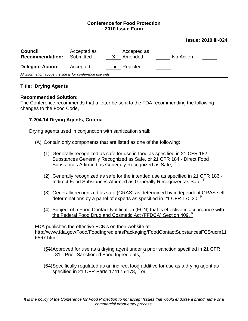#### **Issue: 2010 III-024**

| <b>Council</b><br><b>Recommendation:</b>                   | Accepted as<br>Submitted |   | Accepted as<br>Amended | No Action |  |  |  |
|------------------------------------------------------------|--------------------------|---|------------------------|-----------|--|--|--|
| <b>Delegate Action:</b>                                    | Accepted                 | X | Rejected               |           |  |  |  |
| All information above the line is for conference use only. |                          |   |                        |           |  |  |  |

### **Title: Drying Agents**

#### **Recommended Solution:**

The Conference recommends that a letter be sent to the FDA recommending the following changes to the Food Code,

## **7-204.14 Drying Agents, Criteria**

Drying agents used in conjunction with sanitization shall:

- (A) Contain only components that are listed as one of the following:
	- (1) Generally recognized as safe for use in food as specified in 21 CFR 182 Substances Generally Recognized as Safe, or 21 CFR 184 - Direct Food Substances Affirmed as Generally Recognized as Safe, <sup>P</sup>
	- (2) Generally recognized as safe for the intended use as specified in 21 CFR 186 Indirect Food Substances Affirmed as Generally Recognized as Safe. P
	- (3) Generally recognized as safe (GRAS) as determined by independent GRAS selfdeterminations by a panel of experts as specified in 21 CFR 170.30, <sup>P</sup>
	- (4) Subject of a Food Contact Notification (FCN) that is effective in accordance with the Federal Food Drug and Cosmetic Act (FFDCA) Section 409.<sup>P</sup>

FDA publishes the effective FCN's on their website at: http://www.fda.gov/Food/FoodIngredientsPackaging/FoodContactSubstancesFCS/ucm11 6567.htm

- (53) Approved for use as a drying agent under a prior sanction specified in 21 CFR 181 - Prior-Sanctioned Food Ingredients. <sup>P</sup>
- (64) Specifically regulated as an indirect food additive for use as a drying agent as specified in 21 CFR Parts 174175-178, P or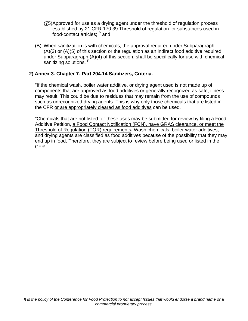- (75) Approved for use as a drying agent under the threshold of regulation process established by 21 CFR 170.39 Threshold of regulation for substances used in food-contact articles; P and
- (B) When sanitization is with chemicals, the approval required under Subparagraph (A)(3) or (A)(5) of this section or the regulation as an indirect food additive required under Subparagraph (A)(4) of this section, shall be specifically for use with chemical sanitizing solutions. <sup>F</sup>

## **2) Annex 3. Chapter 7- Part 204.14 Sanitizers, Criteria.**

"If the chemical wash, boiler water additive, or drying agent used is not made up of components that are approved as food additives or generally recognized as safe, illness may result. This could be due to residues that may remain from the use of compounds such as unrecognized drying agents. This is why only those chemicals that are listed in the CFR or are appropriately cleared as food additives can be used.

"Chemicals that are not listed for these uses may be submitted for review by filing a Food Additive Petition, a Food Contact Notification (FCN), have GRAS clearance, or meet the Threshold of Regulation (TOR) requirements*.* Wash chemicals, boiler water additives, and drying agents are classified as food additives because of the possibility that they may end up in food. Therefore, they are subject to review before being used or listed in the CFR.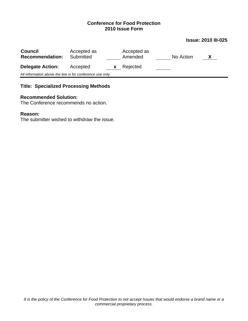#### **Issue: 2010 III-025**

| <b>Council</b><br><b>Recommendation:</b>                   | Accepted as<br>Submitted |    | Accepted as<br>Amended | No Action | X |
|------------------------------------------------------------|--------------------------|----|------------------------|-----------|---|
| <b>Delegate Action:</b>                                    | Accepted                 | X. | Rejected               |           |   |
| All information above the line is for conference use only. |                          |    |                        |           |   |

## **Title: Specialized Processing Methods**

#### **Recommended Solution:**

The Conference recommends no action.

#### **Reason:**

The submitter wished to withdraw the issue.